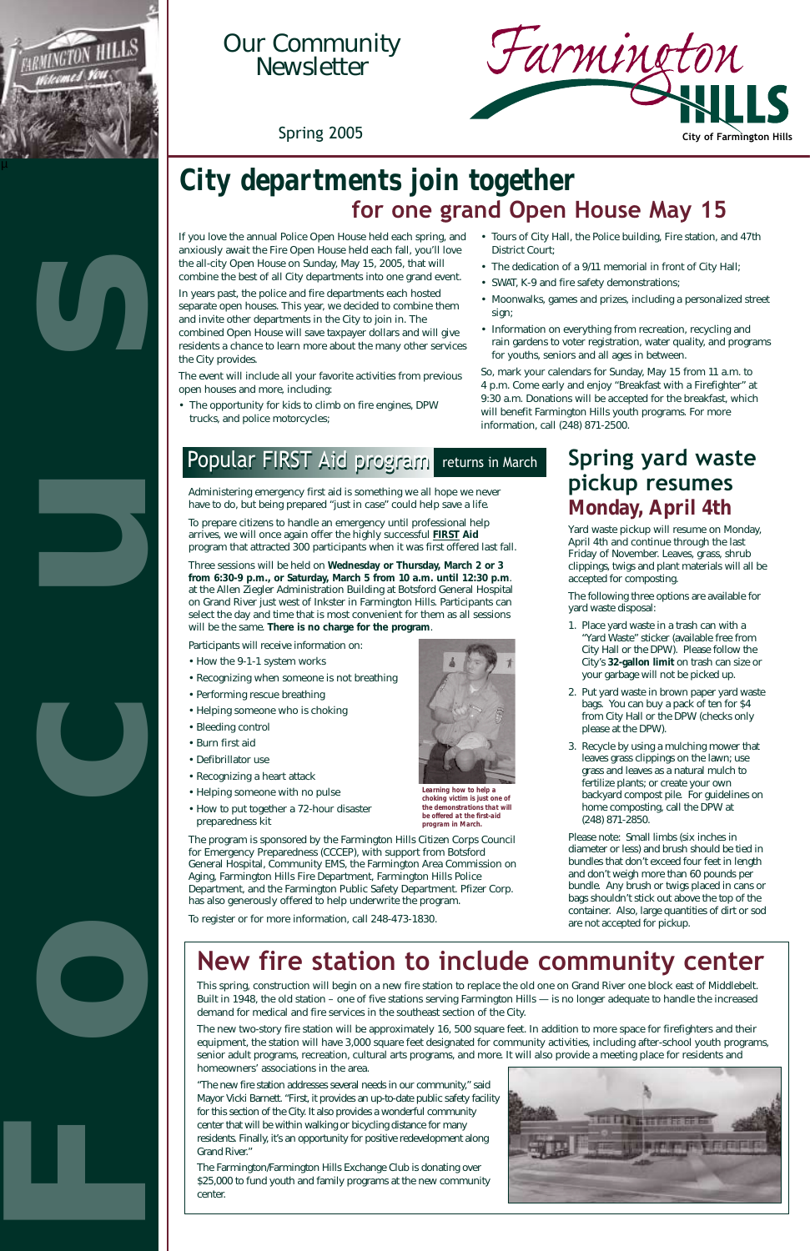If you love the annual Police Open House held each spring, and anxiously await the Fire Open House held each fall, you'll love the all-city Open House on Sunday, May 15, 2005, that will combine the best of all City departments into one grand event.

In years past, the police and fire departments each hosted separate open houses. This year, we decided to combine them and invite other departments in the City to join in. The combined Open House will save taxpayer dollars and will give residents a chance to learn more about the many other services the City provides.

The event will include all your favorite activities from previous open houses and more, including:

• The opportunity for kids to climb on fire engines, DPW trucks, and police motorcycles;

- Tours of City Hall, the Police building, Fire station, and 47th District Court;
- The dedication of a 9/11 memorial in front of City Hall;
- SWAT, K-9 and fire safety demonstrations;
- Moonwalks, games and prizes, including a personalized street sign;
- Information on everything from recreation, recycling and rain gardens to voter registration, water quality, and programs for youths, seniors and all ages in between.

So, mark your calendars for Sunday, May 15 from 11 a.m. to 4 p.m. Come early and enjoy "Breakfast with a Firefighter" at 9:30 a.m. Donations will be accepted for the breakfast, which will benefit Farmington Hills youth programs. For more information, call (248) 871-2500.

### Popular FIRST Aid program returns in March

### **New fire station to include community center**

This spring, construction will begin on a new fire station to replace the old one on Grand River one block east of Middlebelt. Built in 1948, the old station – one of five stations serving Farmington Hills — is no longer adequate to handle the increased demand for medical and fire services in the southeast section of the City.

The new two-story fire station will be approximately 16, 500 square feet. In addition to more space for firefighters and their equipment, the station will have 3,000 square feet designated for community activities, including after-school youth programs, senior adult programs, recreation, cultural arts programs, and more. It will also provide a meeting place for residents and homeowners' associations in the area.

"The new fire station addresses several needs in our community," said Mayor Vicki Barnett. "First, it provides an up-to-date public safety facility for this section of the City. It also provides a wonderful community center that will be within walking or bicycling distance for many residents. Finally, it's an opportunity for positive redevelopment along Grand River."

The Farmington/Farmington Hills Exchange Club is donating over \$25,000 to fund youth and family programs at the new community center.



### *City departments join together*  **for one grand Open House May 15**





## Our Community Newsletter

Administering emergency first aid is something we all hope we never have to do, but being prepared "just in case" could help save a life.

To prepare citizens to handle an emergency until professional help arrives, we will once again offer the highly successful **FIRST Aid** program that attracted 300 participants when it was first offered last fall.

Three sessions will be held on **Wednesday or Thursday, March 2 or 3 from 6:30-9 p.m., or Saturday, March 5 from 10 a.m. until 12:30 p.m**. at the Allen Ziegler Administration Building at Botsford General Hospital on Grand River just west of Inkster in Farmington Hills. Participants can select the day and time that is most convenient for them as all sessions will be the same. **There is no charge for the program**.

Participants will receive information on:

- How the 9-1-1 system works
- Recognizing when someone is not breathing
- Performing rescue breathing
- Helping someone who is choking
- Bleeding control
- Burn first aid
- Defibrillator use
- Recognizing a heart attack
- Helping someone with no pulse
- How to put together a 72-hour disaster preparedness kit

The program is sponsored by the Farmington Hills Citizen Corps Council for Emergency Preparedness (CCCEP), with support from Botsford General Hospital, Community EMS, the Farmington Area Commission on Aging, Farmington Hills Fire Department, Farmington Hills Police Department, and the Farmington Public Safety Department. Pfizer Corp. has also generously offered to help underwrite the program.

ster or for more information, call 248-473-1830.



### **Spring yard waste pickup resumes**  *Monday, April 4th*

Yard waste pickup will resume on Monday, April 4th and continue through the last Friday of November. Leaves, grass, shrub clippings, twigs and plant materials will all be accepted for composting.

The following three options are available for yard waste disposal:

- 1. Place yard waste in a trash can with a "Yard Waste" sticker (available free from City Hall or the DPW). Please follow the City's **32-gallon limit** on trash can size or your garbage will not be picked up.
- 2. Put yard waste in brown paper yard waste bags. You can buy a pack of ten for \$4 from City Hall or the DPW (checks only please at the DPW).
- 3. Recycle by using a mulching mower that leaves grass clippings on the lawn; use grass and leaves as a natural mulch to fertilize plants; or create your own backyard compost pile. For guidelines on home composting, call the DPW at (248) 871-2850.

Please note: Small limbs (six inches in diameter or less) and brush should be tied in bundles that don't exceed four feet in length and don't weigh more than 60 pounds per bundle. Any brush or twigs placed in cans or bags shouldn't stick out above the top of the container. Also, large quantities of dirt or sod



are not accepted for pickup.



*Learning how to help a choking victim is just one of the demonstrations that will be offered at the first-aid program in March.*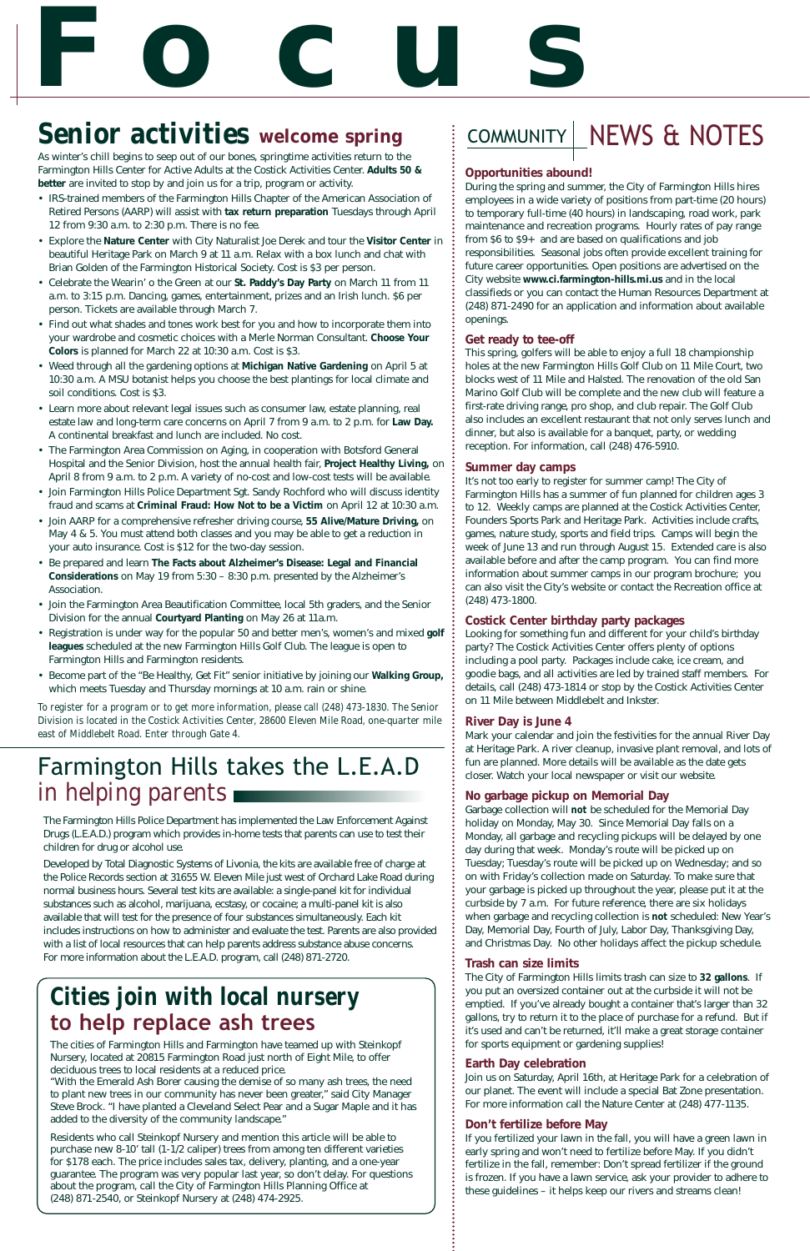#### **Opportunities abound!**

During the spring and summer, the City of Farmington Hills hires employees in a wide variety of positions from part-time (20 hours) to temporary full-time (40 hours) in landscaping, road work, park maintenance and recreation programs. Hourly rates of pay range from \$6 to \$9+ and are based on qualifications and job responsibilities. Seasonal jobs often provide excellent training for future career opportunities. Open positions are advertised on the City website **www.ci.farmington-hills.mi.us** and in the local classifieds or you can contact the Human Resources Department at (248) 871-2490 for an application and information about available openings.

#### **Get ready to tee-off**

This spring, golfers will be able to enjoy a full 18 championship holes at the new Farmington Hills Golf Club on 11 Mile Court, two blocks west of 11 Mile and Halsted. The renovation of the old San Marino Golf Club will be complete and the new club will feature a first-rate driving range, pro shop, and club repair. The Golf Club also includes an excellent restaurant that not only serves lunch and dinner, but also is available for a banquet, party, or wedding reception. For information, call (248) 476-5910.

#### **Summer day camps**

It's not too early to register for summer camp! The City of Farmington Hills has a summer of fun planned for children ages 3 to 12. Weekly camps are planned at the Costick Activities Center, Founders Sports Park and Heritage Park. Activities include crafts, games, nature study, sports and field trips. Camps will begin the week of June 13 and run through August 15. Extended care is also available before and after the camp program. You can find more information about summer camps in our program brochure; you can also visit the City's website or contact the Recreation office at (248) 473-1800.

#### **Costick Center birthday party packages**

Looking for something fun and different for your child's birthday party? The Costick Activities Center offers plenty of options including a pool party. Packages include cake, ice cream, and goodie bags, and all activities are led by trained staff members. For details, call (248) 473-1814 or stop by the Costick Activities Center on 11 Mile between Middlebelt and Inkster.

# **Focus** *Senior activities* **welcome spring**

#### **River Day is June 4**

Mark your calendar and join the festivities for the annual River Day at Heritage Park. A river cleanup, invasive plant removal, and lots of fun are planned. More details will be available as the date gets closer. Watch your local newspaper or visit our website.

#### **No garbage pickup on Memorial Day**

Garbage collection will *not* be scheduled for the Memorial Day holiday on Monday, May 30. Since Memorial Day falls on a Monday, all garbage and recycling pickups will be delayed by one day during that week. Monday's route will be picked up on Tuesday; Tuesday's route will be picked up on Wednesday; and so on with Friday's collection made on Saturday. To make sure that your garbage is picked up throughout the year, please put it at the curbside by 7 a.m. For future reference, there are six holidays when garbage and recycling collection is *not* scheduled: New Year's

Day, Memorial Day, Fourth of July, Labor Day, Thanksgiving Day, and Christmas Day. No other holidays affect the pickup schedule.

#### **Trash can size limits**

The City of Farmington Hills limits trash can size to **32 gallons**. If you put an oversized container out at the curbside it will not be emptied. If you've already bought a container that's larger than 32 gallons, try to return it to the place of purchase for a refund. But if it's used and can't be returned, it'll make a great storage container for sports equipment or gardening supplies!

#### **Earth Day celebration**

Join us on Saturday, April 16th, at Heritage Park for a celebration of our planet. The event will include a special Bat Zone presentation. For more information call the Nature Center at (248) 477-1135.

#### **Don't fertilize before May**

If you fertilized your lawn in the fall, you will have a green lawn in early spring and won't need to fertilize before May. If you didn't fertilize in the fall, remember: Don't spread fertilizer if the ground is frozen. If you have a lawn service, ask your provider to adhere to these guidelines – it helps keep our rivers and streams clean!

As winter's chill begins to seep out of our bones, springtime activities return to the Farmington Hills Center for Active Adults at the Costick Activities Center. **Adults 50 & better** are invited to stop by and join us for a trip, program or activity.

- IRS-trained members of the Farmington Hills Chapter of the American Association of Retired Persons (AARP) will assist with **tax return preparation** Tuesdays through April 12 from 9:30 a.m. to 2:30 p.m. There is no fee.
- Explore the **Nature Center** with City Naturalist Joe Derek and tour the **Visitor Center** in beautiful Heritage Park on March 9 at 11 a.m. Relax with a box lunch and chat with Brian Golden of the Farmington Historical Society. Cost is \$3 per person.
- Celebrate the Wearin' o the Green at our **St. Paddy's Day Party** on March 11 from 11 a.m. to 3:15 p.m. Dancing, games, entertainment, prizes and an Irish lunch. \$6 per person. Tickets are available through March 7.
- Find out what shades and tones work best for you and how to incorporate them into your wardrobe and cosmetic choices with a Merle Norman Consultant. **Choose Your Colors** is planned for March 22 at 10:30 a.m. Cost is \$3.
- Weed through all the gardening options at **Michigan Native Gardening** on April 5 at 10:30 a.m. A MSU botanist helps you choose the best plantings for local climate and soil conditions. Cost is \$3.
- Learn more about relevant legal issues such as consumer law, estate planning, real estate law and long-term care concerns on April 7 from 9 a.m. to 2 p.m. for **Law Day.**  A continental breakfast and lunch are included. No cost.
- The Farmington Area Commission on Aging, in cooperation with Botsford General Hospital and the Senior Division, host the annual health fair, **Project Healthy Living,** on April 8 from 9 a.m. to 2 p.m. A variety of no-cost and low-cost tests will be available.
- Join Farmington Hills Police Department Sgt. Sandy Rochford who will discuss identity fraud and scams at **Criminal Fraud: How Not to be a Victim** on April 12 at 10:30 a.m.
- Join AARP for a comprehensive refresher driving course, **55 Alive/Mature Driving,** on May 4 & 5. You must attend both classes and you may be able to get a reduction in your auto insurance. Cost is \$12 for the two-day session.
- Be prepared and learn **The Facts about Alzheimer's Disease: Legal and Financial Considerations** on May 19 from 5:30 – 8:30 p.m. presented by the Alzheimer's Association.
- Join the Farmington Area Beautification Committee, local 5th graders, and the Senior Division for the annual **Courtyard Planting** on May 26 at 11a.m.
- Registration is under way for the popular 50 and better men's, women's and mixed **golf leagues** scheduled at the new Farmington Hills Golf Club. The league is open to Farmington Hills and Farmington residents.
- Become part of the "Be Healthy, Get Fit" senior initiative by joining our **Walking Group,** which meets Tuesday and Thursday mornings at 10 a.m. rain or shine.

*To register for a program or to get more information, please call (248) 473-1830. The Senior Division is located in the Costick Activities Center, 28600 Eleven Mile Road, one-quarter mile east of Middlebelt Road. Enter through Gate 4.*

### Farmington Hills takes the L.E.A.D *in helping parents*

The Farmington Hills Police Department has implemented the Law Enforcement Against Drugs (L.E.A.D.) program which provides in-home tests that parents can use to test their children for drug or alcohol use.

Developed by Total Diagnostic Systems of Livonia, the kits are available free of charge at the Police Records section at 31655 W. Eleven Mile just west of Orchard Lake Road during normal business hours. Several test kits are available: a single-panel kit for individual substances such as alcohol, marijuana, ecstasy, or cocaine; a multi-panel kit is also available that will test for the presence of four substances simultaneously. Each kit includes instructions on how to administer and evaluate the test. Parents are also provided with a list of local resources that can help parents address substance abuse concerns. For more information about the L.E.A.D. program, call (248) 871-2720.

### COMMUNITY | NEWS & NOTES

### *Cities join with local nursery*  **to help replace ash trees**

The cities of Farmington Hills and Farmington have teamed up with Steinkopf Nursery, located at 20815 Farmington Road just north of Eight Mile, to offer deciduous trees to local residents at a reduced price.

"With the Emerald Ash Borer causing the demise of so many ash trees, the need to plant new trees in our community has never been greater," said City Manager Steve Brock. "I have planted a Cleveland Select Pear and a Sugar Maple and it has added to the diversity of the community landscape."

Residents who call Steinkopf Nursery and mention this article will be able to purchase new 8-10' tall (1-1/2 caliper) trees from among ten different varieties for \$178 each. The price includes sales tax, delivery, planting, and a one-year guarantee. The program was very popular last year, so don't delay. For questions about the program, call the City of Farmington Hills Planning Office at (248) 871-2540, or Steinkopf Nursery at (248) 474-2925.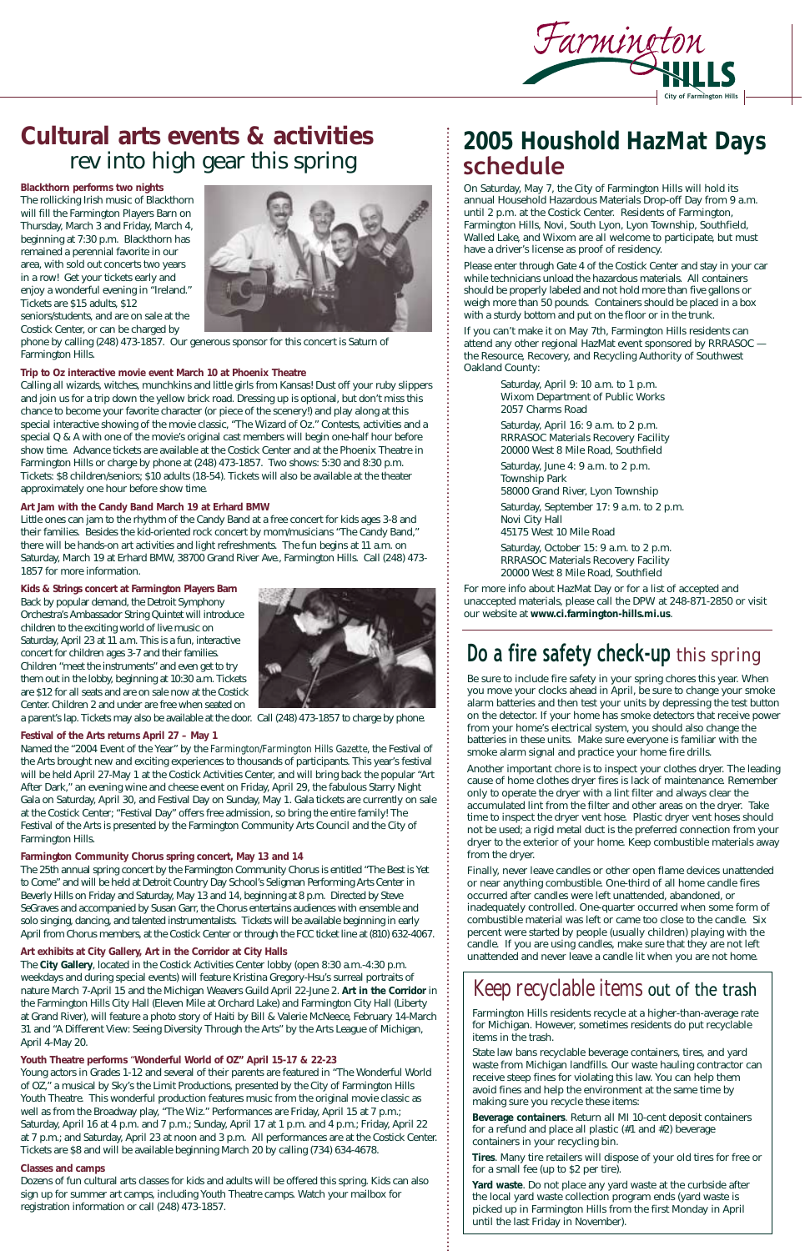### **Cultural arts events & activities** rev into high gear this spring

**Blackthorn performs two nights**  The rollicking Irish music of Blackthorn will fill the Farmington Players Barn on Thursday, March 3 and Friday, March 4, beginning at 7:30 p.m. Blackthorn has remained a perennial favorite in our area, with sold out concerts two years in a row! Get your tickets early and enjoy a wonderful evening in "Ireland." Tickets are \$15 adults, \$12 seniors/students, and are on sale at the Costick Center, or can be charged by



phone by calling (248) 473-1857. Our generous sponsor for this concert is Saturn of Farmington Hills.

#### **Trip to Oz interactive movie event March 10 at Phoenix Theatre**

Calling all wizards, witches, munchkins and little girls from Kansas! Dust off your ruby slippers and join us for a trip down the yellow brick road. Dressing up is optional, but don't miss this chance to become your favorite character (or piece of the scenery!) and play along at this special interactive showing of the movie classic, "The Wizard of Oz." Contests, activities and a special Q & A with one of the movie's original cast members will begin one-half hour before show time. Advance tickets are available at the Costick Center and at the Phoenix Theatre in Farmington Hills or charge by phone at (248) 473-1857. Two shows: 5:30 and 8:30 p.m. Tickets: \$8 children/seniors; \$10 adults (18-54). Tickets will also be available at the theater approximately one hour before show time.

#### **Art Jam with the Candy Band March 19 at Erhard BMW**

Little ones can jam to the rhythm of the Candy Band at a free concert for kids ages 3-8 and their families. Besides the kid-oriented rock concert by mom/musicians "The Candy Band," there will be hands-on art activities and light refreshments. The fun begins at 11 a.m. on Saturday, March 19 at Erhard BMW, 38700 Grand River Ave., Farmington Hills. Call (248) 473- 1857 for more information.

#### **Kids & Strings concert at Farmington Players Barn**

Back by popular demand, the Detroit Symphony Orchestra's Ambassador String Quintet will introduce children to the exciting world of live music on Saturday, April 23 at 11 a.m. This is a fun, interactive concert for children ages 3-7 and their families. Children "meet the instruments" and even get to try them out in the lobby, beginning at 10:30 a.m. Tickets are \$12 for all seats and are on sale now at the Costick Center. Children 2 and under are free when seated on



a parent's lap. Tickets may also be available at the door. Call (248) 473-1857 to charge by phone.

#### **Festival of the Arts returns April 27 – May 1**

Named the "2004 Event of the Year" by the *Farmington/Farmington Hills Gazette*, the Festival of the Arts brought new and exciting experiences to thousands of participants. This year's festival will be held April 27-May 1 at the Costick Activities Center, and will bring back the popular "Art After Dark," an evening wine and cheese event on Friday, April 29, the fabulous Starry Night Gala on Saturday, April 30, and Festival Day on Sunday, May 1. Gala tickets are currently on sale at the Costick Center; "Festival Day" offers free admission, so bring the entire family! The Festival of the Arts is presented by the Farmington Community Arts Council and the City of Farmington Hills.

#### **Farmington Community Chorus spring concert, May 13 and 14**

The 25th annual spring concert by the Farmington Community Chorus is entitled "The Best is Yet to Come" and will be held at Detroit Country Day School's Seligman Performing Arts Center in Beverly Hills on Friday and Saturday, May 13 and 14, beginning at 8 p.m. Directed by Steve SeGraves and accompanied by Susan Garr, the Chorus entertains audiences with ensemble and solo singing, dancing, and talented instrumentalists. Tickets will be available beginning in early April from Chorus members, at the Costick Center or through the FCC ticket line at (810) 632-4067.

#### **Art exhibits at City Gallery, Art in the Corridor at City Halls**

The **City Gallery**, located in the Costick Activities Center lobby (open 8:30 a.m.-4:30 p.m. weekdays and during special events) will feature Kristina Gregory-Hsu's surreal portraits of nature March 7-April 15 and the Michigan Weavers Guild April 22-June 2. **Art in the Corridor** in the Farmington Hills City Hall (Eleven Mile at Orchard Lake) and Farmington City Hall (Liberty at Grand River), will feature a photo story of Haiti by Bill & Valerie McNeece, February 14-March 31 and "A Different View: Seeing Diversity Through the Arts" by the Arts League of Michigan, April 4-May 20.

#### **Youth Theatre performs** "**Wonderful World of OZ" April 15-17 & 22-23**

Young actors in Grades 1-12 and several of their parents are featured in "The Wonderful World of OZ," a musical by Sky's the Limit Productions, presented by the City of Farmington Hills Youth Theatre. This wonderful production features music from the original movie classic as well as from the Broadway play, "The Wiz." Performances are Friday, April 15 at 7 p.m.; Saturday, April 16 at 4 p.m. and 7 p.m.; Sunday, April 17 at 1 p.m. and 4 p.m.; Friday, April 22 at 7 p.m.; and Saturday, April 23 at noon and 3 p.m. All performances are at the Costick Center. Tickets are \$8 and will be available beginning March 20 by calling (734) 634-4678.

#### **Classes and camps**

Dozens of fun cultural arts classes for kids and adults will be offered this spring. Kids can also sign up for summer art camps, including Youth Theatre camps. Watch your mailbox for registration information or call (248) 473-1857.



### *2005 Houshold HazMat Days* **schedule**

### **Do a fire safety check-up** *this spring*

Be sure to include fire safety in your spring chores this year. When you move your clocks ahead in April, be sure to change your smoke alarm batteries and then test your units by depressing the test button on the detector. If your home has smoke detectors that receive power from your home's electrical system, you should also change the batteries in these units. Make sure everyone is familiar with the smoke alarm signal and practice your home fire drills.

Another important chore is to inspect your clothes dryer. The leading cause of home clothes dryer fires is lack of maintenance. Remember only to operate the dryer with a lint filter and always clear the accumulated lint from the filter and other areas on the dryer. Take time to inspect the dryer vent hose. Plastic dryer vent hoses should not be used; a rigid metal duct is the preferred connection from your dryer to the exterior of your home. Keep combustible materials away from the dryer.

Finally, never leave candles or other open flame devices unattended or near anything combustible. One-third of all home candle fires occurred after candles were left unattended, abandoned, or inadequately controlled. One-quarter occurred when some form of combustible material was left or came too close to the candle. Six percent were started by people (usually children) playing with the candle. If you are using candles, make sure that they are not left unattended and never leave a candle lit when you are not home.

On Saturday, May 7, the City of Farmington Hills will hold its annual Household Hazardous Materials Drop-off Day from 9 a.m. until 2 p.m. at the Costick Center. Residents of Farmington, Farmington Hills, Novi, South Lyon, Lyon Township, Southfield, Walled Lake, and Wixom are all welcome to participate, but must have a driver's license as proof of residency.

Please enter through Gate 4 of the Costick Center and stay in your car while technicians unload the hazardous materials. All containers should be properly labeled and not hold more than five gallons or weigh more than 50 pounds. Containers should be placed in a box with a sturdy bottom and put on the floor or in the trunk.

If you can't make it on May 7th, Farmington Hills residents can attend any other regional HazMat event sponsored by RRRASOC the Resource, Recovery, and Recycling Authority of Southwest Oakland County:

> Saturday, April 9: 10 a.m. to 1 p.m. Wixom Department of Public Works 2057 Charms Road

Saturday, April 16: 9 a.m. to 2 p.m. RRRASOC Materials Recovery Facility 20000 West 8 Mile Road, Southfield

Saturday, June 4: 9 a.m. to 2 p.m. Township Park 58000 Grand River, Lyon Township

Saturday, September 17: 9 a.m. to 2 p.m. Novi City Hall 45175 West 10 Mile Road

Saturday, October 15: 9 a.m. to 2 p.m. RRRASOC Materials Recovery Facility 20000 West 8 Mile Road, Southfield

For more info about HazMat Day or for a list of accepted and unaccepted materials, please call the DPW at 248-871-2850 or visit our website at **www.ci.farmington-hills.mi.us**.

### *Keep recyclable items* out of the trash

Farmington Hills residents recycle at a higher-than-average rate for Michigan. However, sometimes residents do put recyclable items in the trash.

State law bans recyclable beverage containers, tires, and yard waste from Michigan landfills. Our waste hauling contractor can receive steep fines for violating this law. You can help them avoid fines and help the environment at the same time by making sure you recycle these items:

**Beverage containers**. Return all MI 10-cent deposit containers for a refund and place all plastic (#1 and #2) beverage containers in your recycling bin.

**Tires**. Many tire retailers will dispose of your old tires for free or for a small fee (up to \$2 per tire).

**Yard waste**. Do not place any yard waste at the curbside after the local yard waste collection program ends (yard waste is picked up in Farmington Hills from the first Monday in April until the last Friday in November).